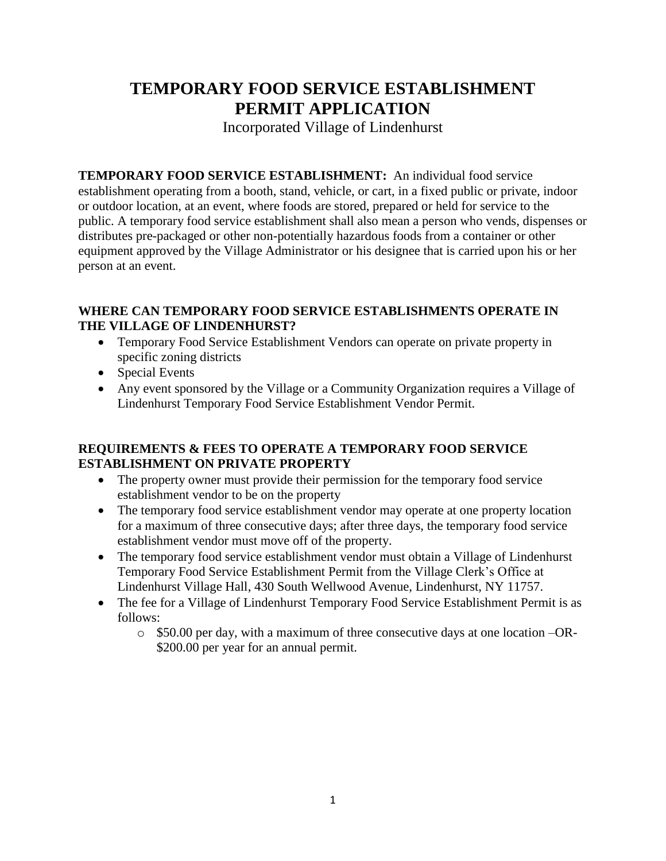# **TEMPORARY FOOD SERVICE ESTABLISHMENT PERMIT APPLICATION**

Incorporated Village of Lindenhurst

**TEMPORARY FOOD SERVICE ESTABLISHMENT:** An individual food service establishment operating from a booth, stand, vehicle, or cart, in a fixed public or private, indoor or outdoor location, at an event, where foods are stored, prepared or held for service to the public. A temporary food service establishment shall also mean a person who vends, dispenses or distributes pre-packaged or other non-potentially hazardous foods from a container or other equipment approved by the Village Administrator or his designee that is carried upon his or her person at an event.

#### **WHERE CAN TEMPORARY FOOD SERVICE ESTABLISHMENTS OPERATE IN THE VILLAGE OF LINDENHURST?**

- Temporary Food Service Establishment Vendors can operate on private property in specific zoning districts
- Special Events
- Any event sponsored by the Village or a Community Organization requires a Village of Lindenhurst Temporary Food Service Establishment Vendor Permit.

### **REQUIREMENTS & FEES TO OPERATE A TEMPORARY FOOD SERVICE ESTABLISHMENT ON PRIVATE PROPERTY**

- The property owner must provide their permission for the temporary food service establishment vendor to be on the property
- The temporary food service establishment vendor may operate at one property location for a maximum of three consecutive days; after three days, the temporary food service establishment vendor must move off of the property.
- The temporary food service establishment vendor must obtain a Village of Lindenhurst Temporary Food Service Establishment Permit from the Village Clerk's Office at Lindenhurst Village Hall, 430 South Wellwood Avenue, Lindenhurst, NY 11757.
- The fee for a Village of Lindenhurst Temporary Food Service Establishment Permit is as follows:
	- o \$50.00 per day, with a maximum of three consecutive days at one location –OR- \$200.00 per year for an annual permit.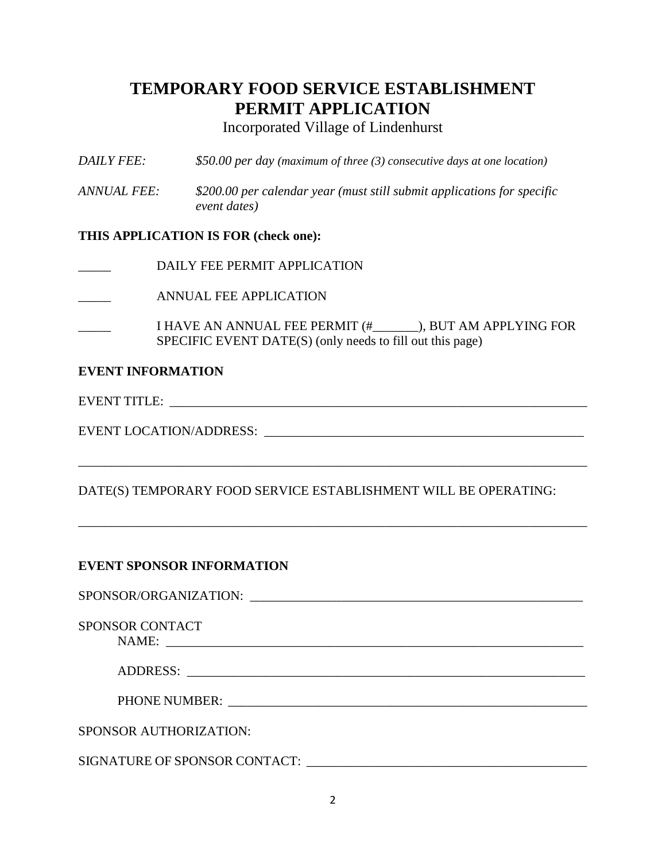# **TEMPORARY FOOD SERVICE ESTABLISHMENT PERMIT APPLICATION**

Incorporated Village of Lindenhurst

- *DAILY FEE: \$50.00 per day (maximum of three (3) consecutive days at one location)*
- *ANNUAL FEE: \$200.00 per calendar year (must still submit applications for specific event dates)*

#### **THIS APPLICATION IS FOR (check one):**

DAILY FEE PERMIT APPLICATION

\_\_\_\_\_ ANNUAL FEE APPLICATION

\_\_\_\_\_ I HAVE AN ANNUAL FEE PERMIT (#\_\_\_\_\_\_\_), BUT AM APPLYING FOR SPECIFIC EVENT DATE(S) (only needs to fill out this page)

#### **EVENT INFORMATION**

EVENT TITLE:

EVENT LOCATION/ADDRESS:

### DATE(S) TEMPORARY FOOD SERVICE ESTABLISHMENT WILL BE OPERATING:

\_\_\_\_\_\_\_\_\_\_\_\_\_\_\_\_\_\_\_\_\_\_\_\_\_\_\_\_\_\_\_\_\_\_\_\_\_\_\_\_\_\_\_\_\_\_\_\_\_\_\_\_\_\_\_\_\_\_\_\_\_\_\_\_\_\_\_\_\_\_\_\_\_\_\_\_\_\_

\_\_\_\_\_\_\_\_\_\_\_\_\_\_\_\_\_\_\_\_\_\_\_\_\_\_\_\_\_\_\_\_\_\_\_\_\_\_\_\_\_\_\_\_\_\_\_\_\_\_\_\_\_\_\_\_\_\_\_\_\_\_\_\_\_\_\_\_\_\_\_\_\_\_\_\_\_\_

#### **EVENT SPONSOR INFORMATION**

SPONSOR/ORGANIZATION: \_\_\_\_\_\_\_\_\_\_\_\_\_\_\_\_\_\_\_\_\_\_\_\_\_\_\_\_\_\_\_\_\_\_\_\_\_\_\_\_\_\_\_\_\_\_\_\_\_\_\_ SPONSOR CONTACT NAME: \_\_\_\_\_\_\_\_\_\_\_\_\_\_\_\_\_\_\_\_\_\_\_\_\_\_\_\_\_\_\_\_\_\_\_\_\_\_\_\_\_\_\_\_\_\_\_\_\_\_\_\_\_\_\_\_\_\_\_\_\_\_\_\_

| ADDDECC<br>ADDRESS: |  |
|---------------------|--|
|                     |  |

SPONSOR AUTHORIZATION:

SIGNATURE OF SPONSOR CONTACT: \_\_\_\_\_\_\_\_\_\_\_\_\_\_\_\_\_\_\_\_\_\_\_\_\_\_\_\_\_\_\_\_\_\_\_\_\_\_\_\_\_\_\_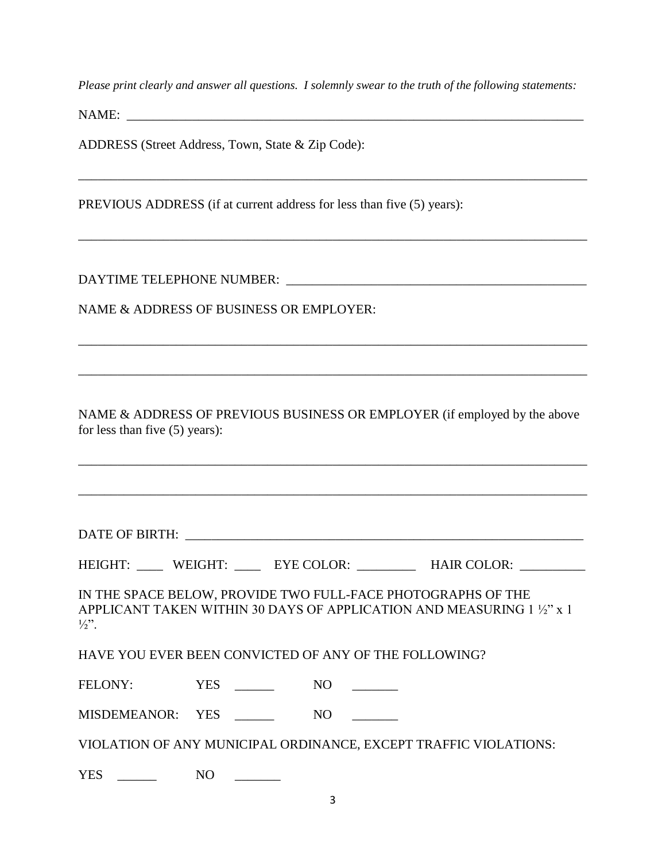*Please print clearly and answer all questions. I solemnly swear to the truth of the following statements:*

\_\_\_\_\_\_\_\_\_\_\_\_\_\_\_\_\_\_\_\_\_\_\_\_\_\_\_\_\_\_\_\_\_\_\_\_\_\_\_\_\_\_\_\_\_\_\_\_\_\_\_\_\_\_\_\_\_\_\_\_\_\_\_\_\_\_\_\_\_\_\_\_\_\_\_\_\_\_

\_\_\_\_\_\_\_\_\_\_\_\_\_\_\_\_\_\_\_\_\_\_\_\_\_\_\_\_\_\_\_\_\_\_\_\_\_\_\_\_\_\_\_\_\_\_\_\_\_\_\_\_\_\_\_\_\_\_\_\_\_\_\_\_\_\_\_\_\_\_\_\_\_\_\_\_\_\_

NAME: \_\_\_\_\_\_\_\_\_\_\_\_\_\_\_\_\_\_\_\_\_\_\_\_\_\_\_\_\_\_\_\_\_\_\_\_\_\_\_\_\_\_\_\_\_\_\_\_\_\_\_\_\_\_\_\_\_\_\_\_\_\_\_\_\_\_\_\_\_\_

ADDRESS (Street Address, Town, State & Zip Code):

PREVIOUS ADDRESS (if at current address for less than five (5) years):

DAYTIME TELEPHONE NUMBER: \_\_\_\_\_\_\_\_\_\_\_\_\_\_\_\_\_\_\_\_\_\_\_\_\_\_\_\_\_\_\_\_\_\_\_\_\_\_\_\_\_\_\_\_\_\_

NAME & ADDRESS OF BUSINESS OR EMPLOYER:

NAME & ADDRESS OF PREVIOUS BUSINESS OR EMPLOYER (if employed by the above for less than five (5) years):

\_\_\_\_\_\_\_\_\_\_\_\_\_\_\_\_\_\_\_\_\_\_\_\_\_\_\_\_\_\_\_\_\_\_\_\_\_\_\_\_\_\_\_\_\_\_\_\_\_\_\_\_\_\_\_\_\_\_\_\_\_\_\_\_\_\_\_\_\_\_\_\_\_\_\_\_\_\_

\_\_\_\_\_\_\_\_\_\_\_\_\_\_\_\_\_\_\_\_\_\_\_\_\_\_\_\_\_\_\_\_\_\_\_\_\_\_\_\_\_\_\_\_\_\_\_\_\_\_\_\_\_\_\_\_\_\_\_\_\_\_\_\_\_\_\_\_\_\_\_\_\_\_\_\_\_\_

\_\_\_\_\_\_\_\_\_\_\_\_\_\_\_\_\_\_\_\_\_\_\_\_\_\_\_\_\_\_\_\_\_\_\_\_\_\_\_\_\_\_\_\_\_\_\_\_\_\_\_\_\_\_\_\_\_\_\_\_\_\_\_\_\_\_\_\_\_\_\_\_\_\_\_\_\_\_

\_\_\_\_\_\_\_\_\_\_\_\_\_\_\_\_\_\_\_\_\_\_\_\_\_\_\_\_\_\_\_\_\_\_\_\_\_\_\_\_\_\_\_\_\_\_\_\_\_\_\_\_\_\_\_\_\_\_\_\_\_\_\_\_\_\_\_\_\_\_\_\_\_\_\_\_\_\_

DATE OF BIRTH: \_\_\_\_\_\_\_\_\_\_\_\_\_\_\_\_\_\_\_\_\_\_\_\_\_\_\_\_\_\_\_\_\_\_\_\_\_\_\_\_\_\_\_\_\_\_\_\_\_\_\_\_\_\_\_\_\_\_\_\_\_

HEIGHT: \_\_\_\_\_ WEIGHT: \_\_\_\_\_ EYE COLOR: \_\_\_\_\_\_\_\_\_ HAIR COLOR: \_\_\_\_\_\_\_\_\_

IN THE SPACE BELOW, PROVIDE TWO FULL-FACE PHOTOGRAPHS OF THE APPLICANT TAKEN WITHIN 30 DAYS OF APPLICATION AND MEASURING 1 ½" x 1  $1/3"$ .

HAVE YOU EVER BEEN CONVICTED OF ANY OF THE FOLLOWING?

FELONY: YES NO

MISDEMEANOR: YES \_\_\_\_\_\_ NO \_\_\_\_\_

VIOLATION OF ANY MUNICIPAL ORDINANCE, EXCEPT TRAFFIC VIOLATIONS:

YES \_\_\_\_\_\_\_\_ NO \_\_\_\_\_\_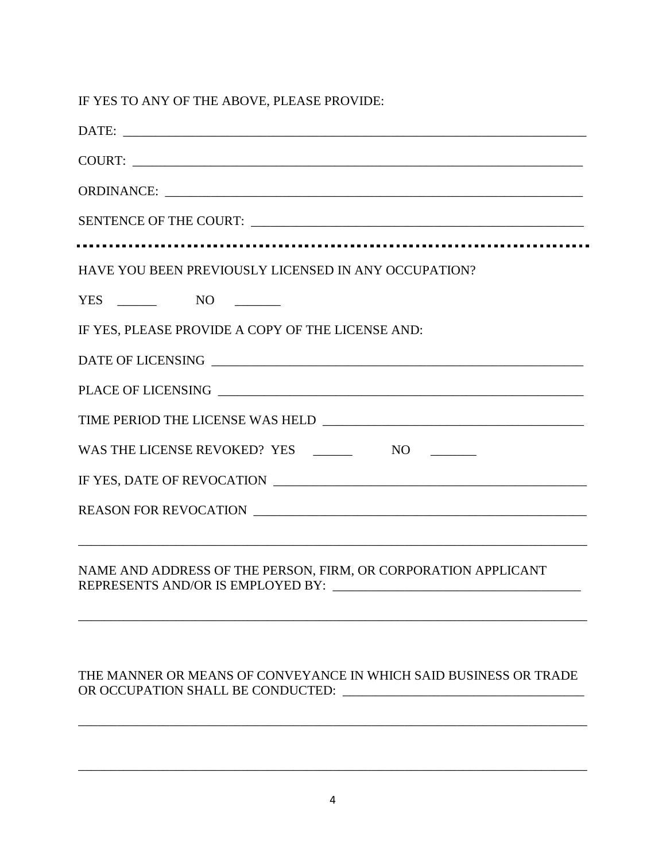IF YES TO ANY OF THE ABOVE, PLEASE PROVIDE:

| DATE:                                                |
|------------------------------------------------------|
|                                                      |
|                                                      |
|                                                      |
| HAVE YOU BEEN PREVIOUSLY LICENSED IN ANY OCCUPATION? |
|                                                      |
| IF YES, PLEASE PROVIDE A COPY OF THE LICENSE AND:    |
|                                                      |
|                                                      |
|                                                      |
|                                                      |
|                                                      |
| REASON FOR REVOCATION                                |
|                                                      |
|                                                      |

NAME AND ADDRESS OF THE PERSON, FIRM, OR CORPORATION APPLICANT REPRESENTS AND/OR IS EMPLOYED BY: \_\_\_\_\_\_\_\_\_\_\_\_\_\_\_\_\_\_\_\_\_\_\_\_\_\_\_\_\_\_\_\_\_\_\_\_\_\_

#### THE MANNER OR MEANS OF CONVEYANCE IN WHICH SAID BUSINESS OR TRADE OR OCCUPATION SHALL BE CONDUCTED: \_\_\_\_\_\_\_\_\_\_\_\_\_\_\_\_\_\_\_\_\_\_\_\_\_\_\_\_\_\_\_\_\_\_\_\_\_

\_\_\_\_\_\_\_\_\_\_\_\_\_\_\_\_\_\_\_\_\_\_\_\_\_\_\_\_\_\_\_\_\_\_\_\_\_\_\_\_\_\_\_\_\_\_\_\_\_\_\_\_\_\_\_\_\_\_\_\_\_\_\_\_\_\_\_\_\_\_\_\_\_\_\_\_\_\_

\_\_\_\_\_\_\_\_\_\_\_\_\_\_\_\_\_\_\_\_\_\_\_\_\_\_\_\_\_\_\_\_\_\_\_\_\_\_\_\_\_\_\_\_\_\_\_\_\_\_\_\_\_\_\_\_\_\_\_\_\_\_\_\_\_\_\_\_\_\_\_\_\_\_\_\_\_\_

\_\_\_\_\_\_\_\_\_\_\_\_\_\_\_\_\_\_\_\_\_\_\_\_\_\_\_\_\_\_\_\_\_\_\_\_\_\_\_\_\_\_\_\_\_\_\_\_\_\_\_\_\_\_\_\_\_\_\_\_\_\_\_\_\_\_\_\_\_\_\_\_\_\_\_\_\_\_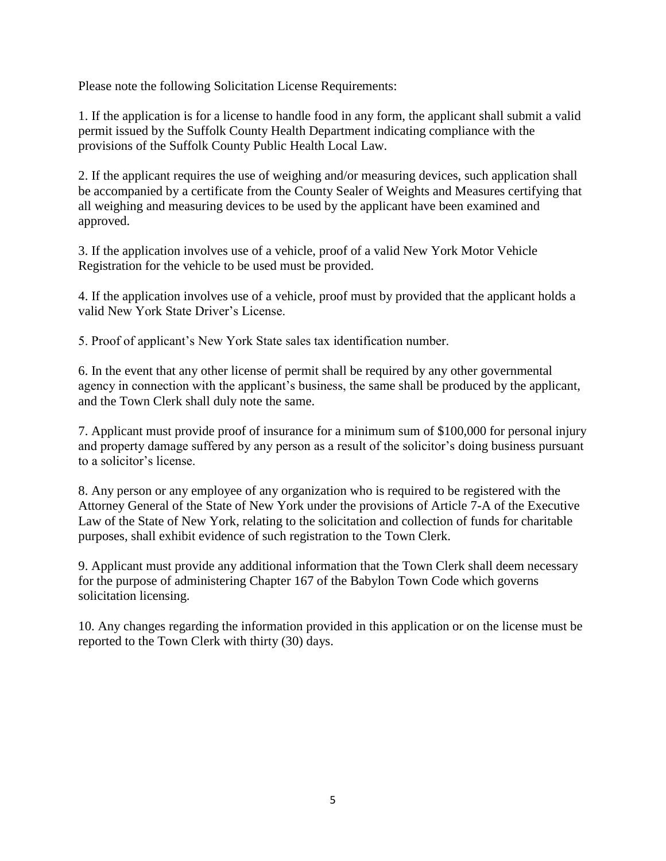Please note the following Solicitation License Requirements:

1. If the application is for a license to handle food in any form, the applicant shall submit a valid permit issued by the Suffolk County Health Department indicating compliance with the provisions of the Suffolk County Public Health Local Law.

2. If the applicant requires the use of weighing and/or measuring devices, such application shall be accompanied by a certificate from the County Sealer of Weights and Measures certifying that all weighing and measuring devices to be used by the applicant have been examined and approved.

3. If the application involves use of a vehicle, proof of a valid New York Motor Vehicle Registration for the vehicle to be used must be provided.

4. If the application involves use of a vehicle, proof must by provided that the applicant holds a valid New York State Driver's License.

5. Proof of applicant's New York State sales tax identification number.

6. In the event that any other license of permit shall be required by any other governmental agency in connection with the applicant's business, the same shall be produced by the applicant, and the Town Clerk shall duly note the same.

7. Applicant must provide proof of insurance for a minimum sum of \$100,000 for personal injury and property damage suffered by any person as a result of the solicitor's doing business pursuant to a solicitor's license.

8. Any person or any employee of any organization who is required to be registered with the Attorney General of the State of New York under the provisions of Article 7-A of the Executive Law of the State of New York, relating to the solicitation and collection of funds for charitable purposes, shall exhibit evidence of such registration to the Town Clerk.

9. Applicant must provide any additional information that the Town Clerk shall deem necessary for the purpose of administering Chapter 167 of the Babylon Town Code which governs solicitation licensing.

10. Any changes regarding the information provided in this application or on the license must be reported to the Town Clerk with thirty (30) days.